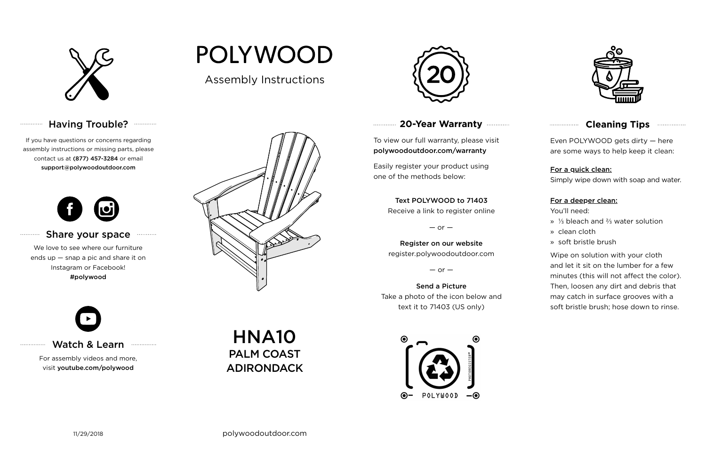

# Having Trouble? **Williams**

## **20-Year Warranty**

To view our full warranty, please visit polywoodoutdoor.com/warranty

Easily register your product using one of the methods below:

Even POLYWOOD gets dirty — here are some ways to help keep it clean:

For a quick clean:

Simply wipe down with soap and water.

### For a deeper clean:

You'll need:

- » ⅓ bleach and ⅔ water solution
- » clean cloth
- » soft bristle brush

Wipe on solution with your cloth and let it sit on the lumber for a few minutes (this will not affect the color). Then, loosen any dirt and debris that may catch in surface grooves with a soft bristle brush; hose down to rinse.

#### Share your space . . . . . . . . . . .

### Text POLYWOOD to 71403

Receive a link to register online

 $-$  or  $-$ 

Register on our website register.polywoodoutdoor.com

 $-$  or  $-$ 

Send a Picture Take a photo of the icon below and text it to 71403 (US only)





## **Cleaning Tips <b>Cleaning**</u>

Watch & Learn

For assembly videos and more, visit youtube.com/polywood

If you have questions or concerns regarding assembly instructions or missing parts, please contact us at (877) 457-3284 or email support@polywoodoutdoor.com

. . . . . . . . . . . .

. . . . . . . . . . .

. . . . . . . . . . . . . . .



We love to see where our furniture ends up — snap a pic and share it on Instagram or Facebook! #polywood



Assembly Instructions

**POLYWOOD** 



HNA10 PALM COAST ADIRONDACK